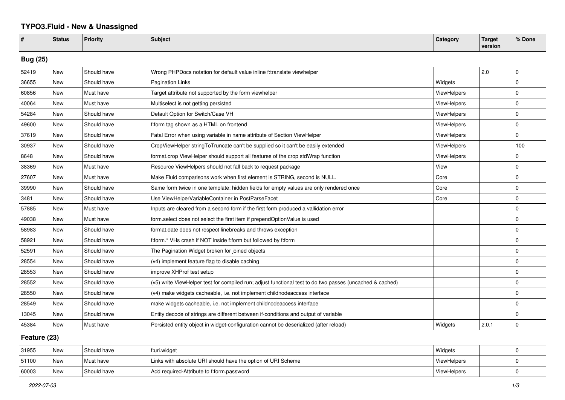## **TYPO3.Fluid - New & Unassigned**

| #               | <b>Status</b> | <b>Priority</b> | <b>Subject</b>                                                                                           | Category           | <b>Target</b><br>version | % Done      |  |  |
|-----------------|---------------|-----------------|----------------------------------------------------------------------------------------------------------|--------------------|--------------------------|-------------|--|--|
| <b>Bug (25)</b> |               |                 |                                                                                                          |                    |                          |             |  |  |
| 52419           | <b>New</b>    | Should have     | Wrong PHPDocs notation for default value inline f:translate viewhelper                                   |                    | 2.0                      | l 0         |  |  |
| 36655           | <b>New</b>    | Should have     | Pagination Links                                                                                         | Widgets            |                          | $\Omega$    |  |  |
| 60856           | New           | Must have       | Target attribute not supported by the form viewhelper                                                    | ViewHelpers        |                          | $\mathbf 0$ |  |  |
| 40064           | New           | Must have       | Multiselect is not getting persisted                                                                     | ViewHelpers        |                          | $\mathbf 0$ |  |  |
| 54284           | New           | Should have     | Default Option for Switch/Case VH                                                                        | <b>ViewHelpers</b> |                          | $\mathbf 0$ |  |  |
| 49600           | <b>New</b>    | Should have     | f:form tag shown as a HTML on frontend                                                                   | ViewHelpers        |                          | $\mathbf 0$ |  |  |
| 37619           | <b>New</b>    | Should have     | Fatal Error when using variable in name attribute of Section ViewHelper                                  | ViewHelpers        |                          | $\Omega$    |  |  |
| 30937           | <b>New</b>    | Should have     | CropViewHelper stringToTruncate can't be supplied so it can't be easily extended                         | ViewHelpers        |                          | 100         |  |  |
| 8648            | New           | Should have     | format.crop ViewHelper should support all features of the crop stdWrap function                          | <b>ViewHelpers</b> |                          | $\Omega$    |  |  |
| 38369           | New           | Must have       | Resource ViewHelpers should not fall back to request package                                             | View               |                          | $\mathbf 0$ |  |  |
| 27607           | New           | Must have       | Make Fluid comparisons work when first element is STRING, second is NULL.                                | Core               |                          | $\mathbf 0$ |  |  |
| 39990           | New           | Should have     | Same form twice in one template: hidden fields for empty values are only rendered once                   | Core               |                          | $\mathbf 0$ |  |  |
| 3481            | <b>New</b>    | Should have     | Use ViewHelperVariableContainer in PostParseFacet                                                        | Core               |                          | $\mathbf 0$ |  |  |
| 57885           | New           | Must have       | Inputs are cleared from a second form if the first form produced a vallidation error                     |                    |                          | $\Omega$    |  |  |
| 49038           | New           | Must have       | form.select does not select the first item if prependOptionValue is used                                 |                    |                          | $\mathbf 0$ |  |  |
| 58983           | <b>New</b>    | Should have     | format.date does not respect linebreaks and throws exception                                             |                    |                          | $\Omega$    |  |  |
| 58921           | New           | Should have     | f:form.* VHs crash if NOT inside f:form but followed by f:form                                           |                    |                          | $\pmb{0}$   |  |  |
| 52591           | New           | Should have     | The Pagination Widget broken for joined objects                                                          |                    |                          | $\mathbf 0$ |  |  |
| 28554           | <b>New</b>    | Should have     | (v4) implement feature flag to disable caching                                                           |                    |                          | $\mathbf 0$ |  |  |
| 28553           | <b>New</b>    | Should have     | improve XHProf test setup                                                                                |                    |                          | $\Omega$    |  |  |
| 28552           | New           | Should have     | (v5) write ViewHelper test for compiled run; adjust functional test to do two passes (uncached & cached) |                    |                          | $\Omega$    |  |  |
| 28550           | New           | Should have     | (v4) make widgets cacheable, i.e. not implement childnodeaccess interface                                |                    |                          | $\mathbf 0$ |  |  |
| 28549           | <b>New</b>    | Should have     | make widgets cacheable, i.e. not implement childnodeaccess interface                                     |                    |                          | $\Omega$    |  |  |
| 13045           | New           | Should have     | Entity decode of strings are different between if-conditions and output of variable                      |                    |                          | $\Omega$    |  |  |
| 45384           | New           | Must have       | Persisted entity object in widget-configuration cannot be deserialized (after reload)                    | Widgets            | 2.0.1                    | $\mathbf 0$ |  |  |
| Feature (23)    |               |                 |                                                                                                          |                    |                          |             |  |  |
| 31955           | New           | Should have     | f:uri.widget                                                                                             | Widgets            |                          | $\mathbf 0$ |  |  |
| 51100           | New           | Must have       | Links with absolute URI should have the option of URI Scheme                                             | ViewHelpers        |                          | $\Omega$    |  |  |
| 60003           | New           | Should have     | Add required-Attribute to f:form.password                                                                | ViewHelpers        |                          | $\Omega$    |  |  |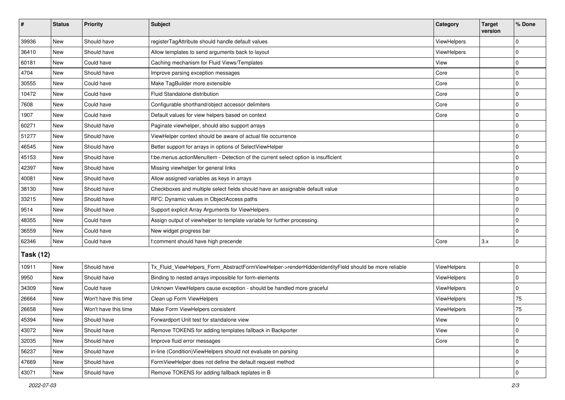| $\vert$ #        | <b>Status</b> | Priority             | <b>Subject</b>                                                                                      | Category    | <b>Target</b><br>version | % Done      |  |  |
|------------------|---------------|----------------------|-----------------------------------------------------------------------------------------------------|-------------|--------------------------|-------------|--|--|
| 39936            | New           | Should have          | registerTagAttribute should handle default values                                                   | ViewHelpers |                          | $\Omega$    |  |  |
| 36410            | New           | Should have          | Allow templates to send arguments back to layout                                                    | ViewHelpers |                          | 0           |  |  |
| 60181            | New           | Could have           | Caching mechanism for Fluid Views/Templates                                                         | View        |                          | $\Omega$    |  |  |
| 4704             | <b>New</b>    | Should have          | Improve parsing exception messages                                                                  | Core        |                          | 0           |  |  |
| 30555            | New           | Could have           | Make TagBuilder more extensible                                                                     | Core        |                          | 0           |  |  |
| 10472            | New           | Could have           | Fluid Standalone distribution                                                                       | Core        |                          | $\Omega$    |  |  |
| 7608             | <b>New</b>    | Could have           | Configurable shorthand/object accessor delimiters                                                   | Core        |                          | 0           |  |  |
| 1907             | New           | Could have           | Default values for view helpers based on context                                                    | Core        |                          | 0           |  |  |
| 60271            | New           | Should have          | Paginate viewhelper, should also support arrays                                                     |             |                          | 0           |  |  |
| 51277            | New           | Should have          | ViewHelper context should be aware of actual file occurrence                                        |             |                          | $\Omega$    |  |  |
| 46545            | New           | Should have          | Better support for arrays in options of SelectViewHelper                                            |             |                          | $\Omega$    |  |  |
| 45153            | <b>New</b>    | Should have          | f:be.menus.actionMenuItem - Detection of the current select option is insufficient                  |             |                          | $\Omega$    |  |  |
| 42397            | New           | Should have          | Missing viewhelper for general links                                                                |             |                          | $\Omega$    |  |  |
| 40081            | <b>New</b>    | Should have          | Allow assigned variables as keys in arrays                                                          |             |                          | $\Omega$    |  |  |
| 38130            | New           | Should have          | Checkboxes and multiple select fields should have an assignable default value                       |             |                          | 0           |  |  |
| 33215            | New           | Should have          | RFC: Dynamic values in ObjectAccess paths                                                           |             |                          | $\Omega$    |  |  |
| 9514             | <b>New</b>    | Should have          | Support explicit Array Arguments for ViewHelpers                                                    |             |                          | $\mathbf 0$ |  |  |
| 48355            | New           | Could have           | Assign output of viewhelper to template variable for further processing.                            |             |                          | $\Omega$    |  |  |
| 36559            | New           | Could have           | New widget progress bar                                                                             |             |                          | $\Omega$    |  |  |
| 62346            | <b>New</b>    | Could have           | f:comment should have high precende                                                                 | Core        | 3.x                      | 0           |  |  |
| <b>Task (12)</b> |               |                      |                                                                                                     |             |                          |             |  |  |
| 10911            | New           | Should have          | Tx_Fluid_ViewHelpers_Form_AbstractFormViewHelper->renderHiddenIdentityField should be more reliable | ViewHelpers |                          | 0           |  |  |
| 9950             | <b>New</b>    | Should have          | Binding to nested arrays impossible for form-elements                                               | ViewHelpers |                          | 0           |  |  |
| 34309            | New           | Could have           | Unknown ViewHelpers cause exception - should be handled more graceful                               | ViewHelpers |                          | $\Omega$    |  |  |
| 26664            | <b>New</b>    | Won't have this time | Clean up Form ViewHelpers                                                                           | ViewHelpers |                          | 75          |  |  |
| 26658            | New           | Won't have this time | Make Form ViewHelpers consistent                                                                    | ViewHelpers |                          | 75          |  |  |
| 45394            | New           | Should have          | Forwardport Unit test for standalone view                                                           | View        |                          | 0           |  |  |
| 43072            | New           | Should have          | Remove TOKENS for adding templates fallback in Backporter                                           | View        |                          | $\Omega$    |  |  |
| 32035            | New           | Should have          | Improve fluid error messages                                                                        | Core        |                          | 0           |  |  |
| 56237            | New           | Should have          | in-line (Condition) View Helpers should not evaluate on parsing                                     |             |                          | $\mathbf 0$ |  |  |
| 47669            | New           | Should have          | FormViewHelper does not define the default request method                                           |             |                          | 0           |  |  |
| 43071            | New           | Should have          | Remove TOKENS for adding fallback teplates in B                                                     |             |                          | 0           |  |  |